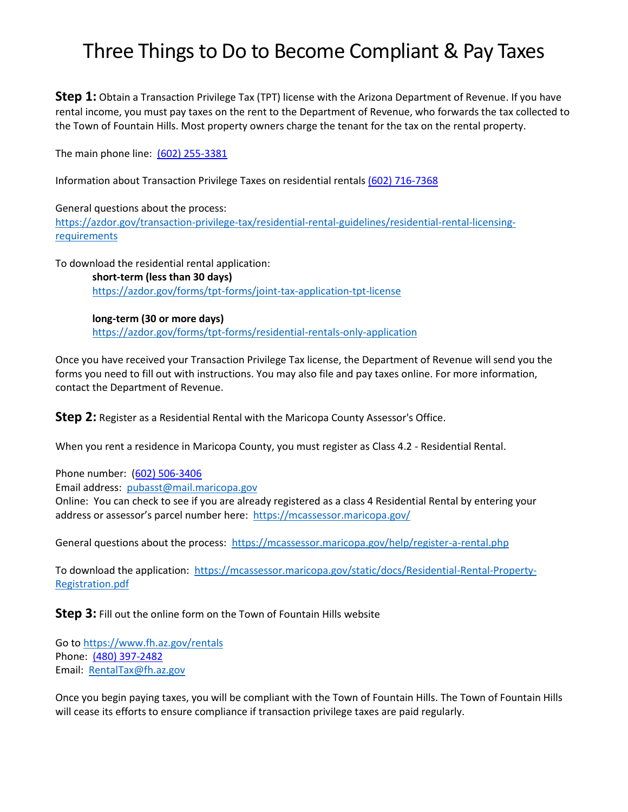## Three Things to Do to Become Compliant & Pay Taxes

**Step 1:** Obtain a Transaction Privilege Tax (TPT) license with the Arizona Department of Revenue. If you have rental income, you must pay taxes on the rent to the Department of Revenue, who forwards the tax collected to the Town of Fountain Hills. Most property owners charge the tenant for the tax on the rental property.

The main phone line: (602) 255-3381

Information about Transaction Privilege Taxes on residential rentals (602) 716-7368

General questions about the process: [https://azdor.gov/transaction-privilege-tax/residential-rental-guidelines/residential-rental-licensing](https://azdor.gov/transaction-privilege-tax/residential-rental-guidelines/residential-rental-licensing-requirements)**[requirements](https://azdor.gov/transaction-privilege-tax/residential-rental-guidelines/residential-rental-licensing-requirements)** 

To download the residential rental application:

**short-term (less than 30 days)** <https://azdor.gov/forms/tpt-forms/joint-tax-application-tpt-license>

**long-term (30 or more days)** <https://azdor.gov/forms/tpt-forms/residential-rentals-only-application>

Once you have received your Transaction Privilege Tax license, the Department of Revenue will send you the forms you need to fill out with instructions. You may also file and pay taxes online. For more information, contact the Department of Revenue.

**Step 2:** Register as a Residential Rental with the Maricopa County Assessor's Office.

When you rent a residence in Maricopa County, you must register as Class 4.2 - Residential Rental.

Phone number: (602) 506-3406

Email address: [pubasst@mail.maricopa.gov](mailto:pubasst@mail.maricopa.gov)

Online: You can check to see if you are already registered as a class 4 Residential Rental by entering your address or assessor's parcel number here: <https://mcassessor.maricopa.gov/>

General questions about the process: <https://mcassessor.maricopa.gov/help/register-a-rental.php>

To download the application: [https://mcassessor.maricopa.gov/static/docs/Residential-Rental-Property-](https://mcassessor.maricopa.gov/static/docs/Residential-Rental-Property-Registration.pdf)[Registration.pdf](https://mcassessor.maricopa.gov/static/docs/Residential-Rental-Property-Registration.pdf)

**Step 3:** Fill out the online form on the Town of Fountain Hills website

Go to<https://www.fh.az.gov/rentals> Phone: (480) 397-2482 Email: [RentalTax@fh.az.gov](mailto:RentalTax@fh.az.gov)

Once you begin paying taxes, you will be compliant with the Town of Fountain Hills. The Town of Fountain Hills will cease its efforts to ensure compliance if transaction privilege taxes are paid regularly.